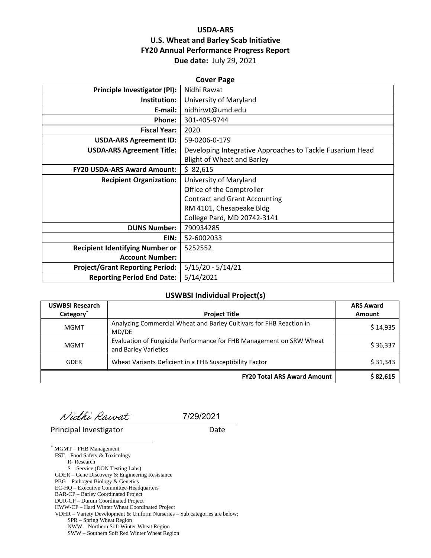## **USDA-ARS U.S. Wheat and Barley Scab Initiative FY20 Annual Performance Progress Report Due date:** July 29, 2021

| <b>Cover Page</b>                      |                                                           |  |  |  |
|----------------------------------------|-----------------------------------------------------------|--|--|--|
| Principle Investigator (PI):           | Nidhi Rawat                                               |  |  |  |
| Institution:                           | University of Maryland                                    |  |  |  |
| E-mail:                                | nidhirwt@umd.edu                                          |  |  |  |
| Phone:                                 | 301-405-9744                                              |  |  |  |
| <b>Fiscal Year:</b>                    | 2020                                                      |  |  |  |
| <b>USDA-ARS Agreement ID:</b>          | 59-0206-0-179                                             |  |  |  |
| <b>USDA-ARS Agreement Title:</b>       | Developing Integrative Approaches to Tackle Fusarium Head |  |  |  |
|                                        | <b>Blight of Wheat and Barley</b>                         |  |  |  |
| <b>FY20 USDA-ARS Award Amount:</b>     | \$82,615                                                  |  |  |  |
| <b>Recipient Organization:</b>         | University of Maryland                                    |  |  |  |
|                                        | Office of the Comptroller                                 |  |  |  |
|                                        | <b>Contract and Grant Accounting</b>                      |  |  |  |
|                                        | RM 4101, Chesapeake Bldg                                  |  |  |  |
|                                        | College Pard, MD 20742-3141                               |  |  |  |
| <b>DUNS Number:</b>                    | 790934285                                                 |  |  |  |
| EIN:                                   | 52-6002033                                                |  |  |  |
| <b>Recipient Identifying Number or</b> | 5252552                                                   |  |  |  |
| <b>Account Number:</b>                 |                                                           |  |  |  |
| <b>Project/Grant Reporting Period:</b> | $5/15/20 - 5/14/21$                                       |  |  |  |
| <b>Reporting Period End Date:</b>      | 5/14/2021                                                 |  |  |  |

#### **USWBSI Individual Project(s)**

| <b>USWBSI Research</b> |                                                                                             | <b>ARS Award</b> |
|------------------------|---------------------------------------------------------------------------------------------|------------------|
| Category <sup>*</sup>  | <b>Project Title</b>                                                                        | <b>Amount</b>    |
| <b>MGMT</b>            | Analyzing Commercial Wheat and Barley Cultivars for FHB Reaction in<br>MD/DE                | \$14,935         |
| <b>MGMT</b>            | Evaluation of Fungicide Performance for FHB Management on SRW Wheat<br>and Barley Varieties | \$36,337         |
| <b>GDER</b>            | Wheat Variants Deficient in a FHB Susceptibility Factor                                     | \$31,343         |
|                        | <b>FY20 Total ARS Award Amount</b>                                                          | \$82,615         |

Nidhi Rawat

7/29/2021

Principal Investigator **Date** 

\* MGMT – FHB Management FST – Food Safety & Toxicology R- Research S – Service (DON Testing Labs) GDER – Gene Discovery & Engineering Resistance PBG – Pathogen Biology & Genetics EC-HQ – Executive Committee-Headquarters BAR-CP – Barley Coordinated Project DUR-CP – Durum Coordinated Project HWW-CP – Hard Winter Wheat Coordinated Project VDHR – Variety Development & Uniform Nurseries – Sub categories are below: SPR – Spring Wheat Region NWW – Northern Soft Winter Wheat Region SWW – Southern Soft Red Winter Wheat Region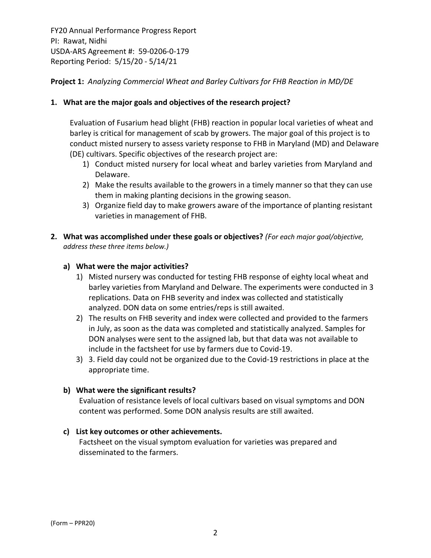### **Project 1:** *Analyzing Commercial Wheat and Barley Cultivars for FHB Reaction in MD/DE*

#### **1. What are the major goals and objectives of the research project?**

Evaluation of Fusarium head blight (FHB) reaction in popular local varieties of wheat and barley is critical for management of scab by growers. The major goal of this project is to conduct misted nursery to assess variety response to FHB in Maryland (MD) and Delaware (DE) cultivars. Specific objectives of the research project are:

- 1) Conduct misted nursery for local wheat and barley varieties from Maryland and Delaware.
- 2) Make the results available to the growers in a timely manner so that they can use them in making planting decisions in the growing season.
- 3) Organize field day to make growers aware of the importance of planting resistant varieties in management of FHB.
- **2. What was accomplished under these goals or objectives?** *(For each major goal/objective, address these three items below.)*

#### **a) What were the major activities?**

- 1) Misted nursery was conducted for testing FHB response of eighty local wheat and barley varieties from Maryland and Delware. The experiments were conducted in 3 replications. Data on FHB severity and index was collected and statistically analyzed. DON data on some entries/reps is still awaited.
- 2) The results on FHB severity and index were collected and provided to the farmers in July, as soon as the data was completed and statistically analyzed. Samples for DON analyses were sent to the assigned lab, but that data was not available to include in the factsheet for use by farmers due to Covid‐19.
- 3) 3. Field day could not be organized due to the Covid‐19 restrictions in place at the appropriate time.

#### **b) What were the significant results?**

Evaluation of resistance levels of local cultivars based on visual symptoms and DON content was performed. Some DON analysis results are still awaited.

#### **c) List key outcomes or other achievements.**

Factsheet on the visual symptom evaluation for varieties was prepared and disseminated to the farmers.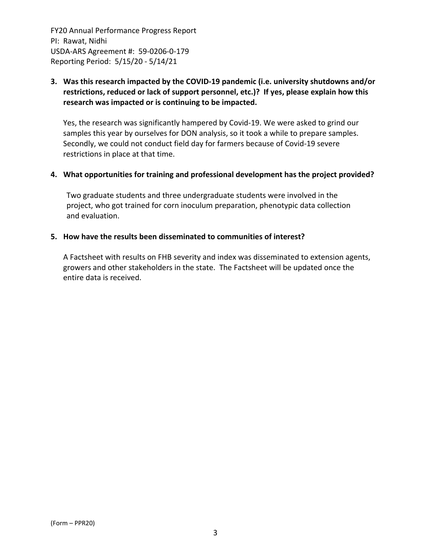## **3. Was this research impacted by the COVID‐19 pandemic (i.e. university shutdowns and/or restrictions, reduced or lack of support personnel, etc.)? If yes, please explain how this research was impacted or is continuing to be impacted.**

Yes, the research was significantly hampered by Covid‐19. We were asked to grind our samples this year by ourselves for DON analysis, so it took a while to prepare samples. Secondly, we could not conduct field day for farmers because of Covid‐19 severe restrictions in place at that time.

#### **4. What opportunities for training and professional development has the project provided?**

Two graduate students and three undergraduate students were involved in the project, who got trained for corn inoculum preparation, phenotypic data collection and evaluation.

#### **5. How have the results been disseminated to communities of interest?**

A Factsheet with results on FHB severity and index was disseminated to extension agents, growers and other stakeholders in the state. The Factsheet will be updated once the entire data is received.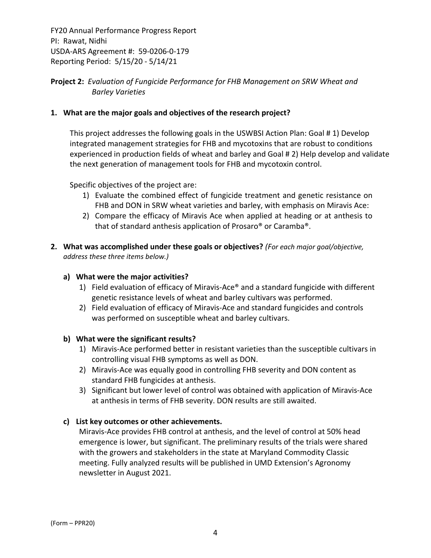## **Project 2:** *Evaluation of Fungicide Performance for FHB Management on SRW Wheat and Barley Varieties*

## **1. What are the major goals and objectives of the research project?**

This project addresses the following goals in the USWBSI Action Plan: Goal # 1) Develop integrated management strategies for FHB and mycotoxins that are robust to conditions experienced in production fields of wheat and barley and Goal # 2) Help develop and validate the next generation of management tools for FHB and mycotoxin control.

Specific objectives of the project are:

- 1) Evaluate the combined effect of fungicide treatment and genetic resistance on FHB and DON in SRW wheat varieties and barley, with emphasis on Miravis Ace:
- 2) Compare the efficacy of Miravis Ace when applied at heading or at anthesis to that of standard anthesis application of Prosaro® or Caramba®.
- **2. What was accomplished under these goals or objectives?** *(For each major goal/objective, address these three items below.)*

#### **a) What were the major activities?**

- 1) Field evaluation of efficacy of Miravis-Ace® and a standard fungicide with different genetic resistance levels of wheat and barley cultivars was performed.
- 2) Field evaluation of efficacy of Miravis‐Ace and standard fungicides and controls was performed on susceptible wheat and barley cultivars.

#### **b) What were the significant results?**

- 1) Miravis‐Ace performed better in resistant varieties than the susceptible cultivars in controlling visual FHB symptoms as well as DON.
- 2) Miravis-Ace was equally good in controlling FHB severity and DON content as standard FHB fungicides at anthesis.
- 3) Significant but lower level of control was obtained with application of Miravis‐Ace at anthesis in terms of FHB severity. DON results are still awaited.

## **c) List key outcomes or other achievements.**

Miravis‐Ace provides FHB control at anthesis, and the level of control at 50% head emergence is lower, but significant. The preliminary results of the trials were shared with the growers and stakeholders in the state at Maryland Commodity Classic meeting. Fully analyzed results will be published in UMD Extension's Agronomy newsletter in August 2021.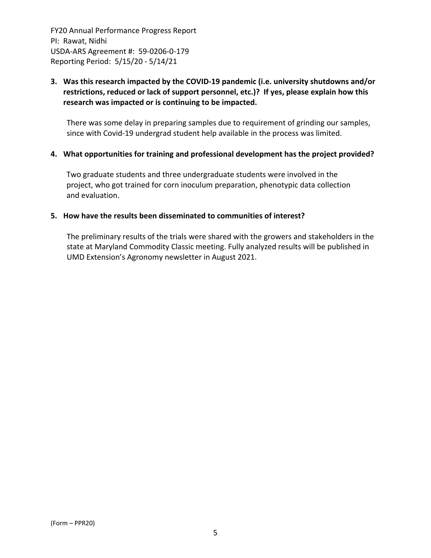## **3. Was this research impacted by the COVID‐19 pandemic (i.e. university shutdowns and/or restrictions, reduced or lack of support personnel, etc.)? If yes, please explain how this research was impacted or is continuing to be impacted.**

There was some delay in preparing samples due to requirement of grinding our samples, since with Covid‐19 undergrad student help available in the process was limited.

#### **4. What opportunities for training and professional development has the project provided?**

Two graduate students and three undergraduate students were involved in the project, who got trained for corn inoculum preparation, phenotypic data collection and evaluation.

#### **5. How have the results been disseminated to communities of interest?**

The preliminary results of the trials were shared with the growers and stakeholders in the state at Maryland Commodity Classic meeting. Fully analyzed results will be published in UMD Extension's Agronomy newsletter in August 2021.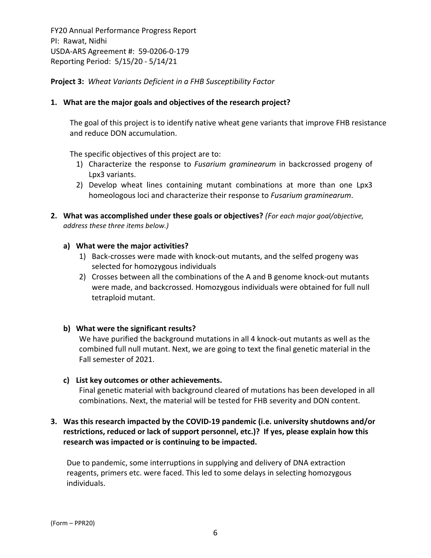**Project 3:** *Wheat Variants Deficient in a FHB Susceptibility Factor*

#### **1. What are the major goals and objectives of the research project?**

The goal of this project is to identify native wheat gene variants that improve FHB resistance and reduce DON accumulation.

The specific objectives of this project are to:

- 1) Characterize the response to *Fusarium graminearum* in backcrossed progeny of Lpx3 variants.
- 2) Develop wheat lines containing mutant combinations at more than one Lpx3 homeologous loci and characterize their response to *Fusarium graminearum*.
- **2. What was accomplished under these goals or objectives?** *(For each major goal/objective, address these three items below.)*

#### **a) What were the major activities?**

- 1) Back‐crosses were made with knock‐out mutants, and the selfed progeny was selected for homozygous individuals
- 2) Crosses between all the combinations of the A and B genome knock‐out mutants were made, and backcrossed. Homozygous individuals were obtained for full null tetraploid mutant.

#### **b) What were the significant results?**

We have purified the background mutations in all 4 knock-out mutants as well as the combined full null mutant. Next, we are going to text the final genetic material in the Fall semester of 2021.

#### **c) List key outcomes or other achievements.**

Final genetic material with background cleared of mutations has been developed in all combinations. Next, the material will be tested for FHB severity and DON content.

## **3. Was this research impacted by the COVID‐19 pandemic (i.e. university shutdowns and/or restrictions, reduced or lack of support personnel, etc.)? If yes, please explain how this research was impacted or is continuing to be impacted.**

Due to pandemic, some interruptions in supplying and delivery of DNA extraction reagents, primers etc. were faced. This led to some delays in selecting homozygous individuals.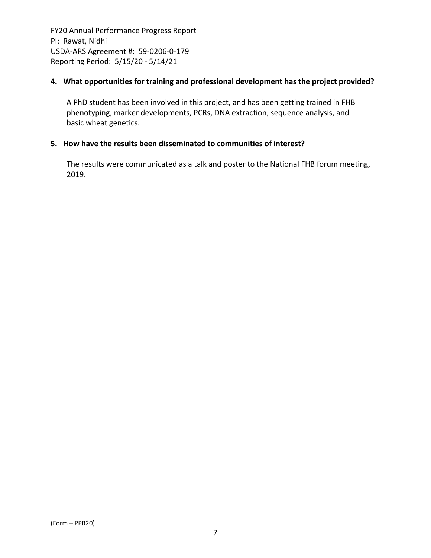## **4. What opportunities for training and professional development has the project provided?**

A PhD student has been involved in this project, and has been getting trained in FHB phenotyping, marker developments, PCRs, DNA extraction, sequence analysis, and basic wheat genetics.

## **5. How have the results been disseminated to communities of interest?**

The results were communicated as a talk and poster to the National FHB forum meeting, 2019.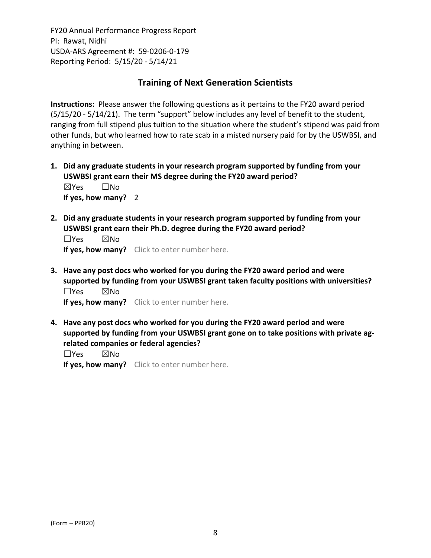# **Training of Next Generation Scientists**

**Instructions:** Please answer the following questions as it pertains to the FY20 award period (5/15/20 ‐ 5/14/21). The term "support" below includes any level of benefit to the student, ranging from full stipend plus tuition to the situation where the student's stipend was paid from other funds, but who learned how to rate scab in a misted nursery paid for by the USWBSI, and anything in between.

- **1. Did any graduate students in your research program supported by funding from your USWBSI grant earn their MS degree during the FY20 award period?** ☒Yes ☐No **If yes, how many?** 2
- **2. Did any graduate students in your research program supported by funding from your USWBSI grant earn their Ph.D. degree during the FY20 award period?**

 $\square$ Yes  $\square$ No **If yes, how many?** Click to enter number here.

**3. Have any post docs who worked for you during the FY20 award period and were supported by funding from your USWBSI grant taken faculty positions with universities?** ☐Yes ☒No

**If yes, how many?** Click to enter number here.

**4. Have any post docs who worked for you during the FY20 award period and were supported by funding from your USWBSI grant gone on to take positions with private ag‐ related companies or federal agencies?**

☐Yes ☒No

**If yes, how many?** Click to enter number here.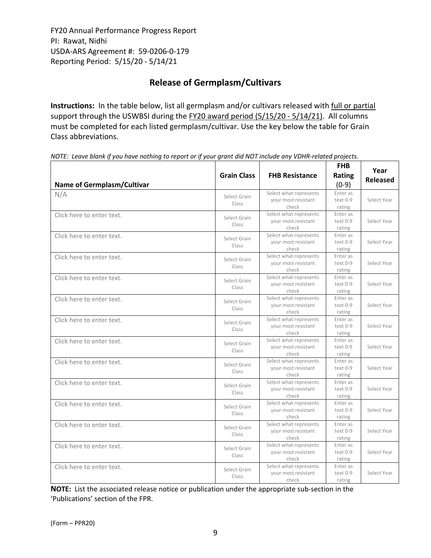# **Release of Germplasm/Cultivars**

**Instructions:** In the table below, list all germplasm and/or cultivars released with full or partial support through the USWBSI during the FY20 award period (5/15/20 - 5/14/21). All columns must be completed for each listed germplasm/cultivar. Use the key below the table for Grain Class abbreviations. 

| <b>Name of Germplasm/Cultivar</b> | <b>Grain Class</b>    | <b>FHB Resistance</b>                                  | <b>FHB</b><br>Rating<br>$(0-9)$ | Year<br><b>Released</b> |
|-----------------------------------|-----------------------|--------------------------------------------------------|---------------------------------|-------------------------|
| N/A                               | Select Grain<br>Class | Select what represents<br>your most resistant<br>check | Enter as<br>text 0-9<br>rating  | Select Year             |
| Click here to enter text.         | Select Grain<br>Class | Select what represents<br>your most resistant<br>check | Enter as<br>text 0-9<br>rating  | Select Year             |
| Click here to enter text.         | Select Grain<br>Class | Select what represents<br>your most resistant<br>check | Enter as<br>text 0-9<br>rating  | Select Year             |
| Click here to enter text.         | Select Grain<br>Class | Select what represents<br>your most resistant<br>check | Enter as<br>text 0-9<br>rating  | Select Year             |
| Click here to enter text.         | Select Grain<br>Class | Select what represents<br>your most resistant<br>check | Enter as<br>text 0-9<br>rating  | Select Year             |
| Click here to enter text.         | Select Grain<br>Class | Select what represents<br>your most resistant<br>check | Enter as<br>text 0-9<br>rating  | Select Year             |
| Click here to enter text.         | Select Grain<br>Class | Select what represents<br>your most resistant<br>check | Enter as<br>text 0-9<br>rating  | Select Year             |
| Click here to enter text.         | Select Grain<br>Class | Select what represents<br>your most resistant<br>check | Enter as<br>text 0-9<br>rating  | Select Year             |
| Click here to enter text.         | Select Grain<br>Class | Select what represents<br>your most resistant<br>check | Enter as<br>text 0-9<br>rating  | Select Year             |
| Click here to enter text.         | Select Grain<br>Class | Select what represents<br>your most resistant<br>check | Enter as<br>text 0-9<br>rating  | Select Year             |
| Click here to enter text.         | Select Grain<br>Class | Select what represents<br>your most resistant<br>check | Enter as<br>text 0-9<br>rating  | Select Year             |
| Click here to enter text.         | Select Grain<br>Class | Select what represents<br>your most resistant<br>check | Enter as<br>text 0-9<br>rating  | Select Year             |
| Click here to enter text.         | Select Grain<br>Class | Select what represents<br>your most resistant<br>check | Enter as<br>text 0-9<br>rating  | Select Year             |
| Click here to enter text.         | Select Grain<br>Class | Select what represents<br>your most resistant<br>check | Enter as<br>text 0-9<br>rating  | Select Year             |

NOTE: Leave blank if you have nothing to report or if your grant did NOT include any VDHR-related projects.

**NOTE:** List the associated release notice or publication under the appropriate sub-section in the 'Publications' section of the FPR.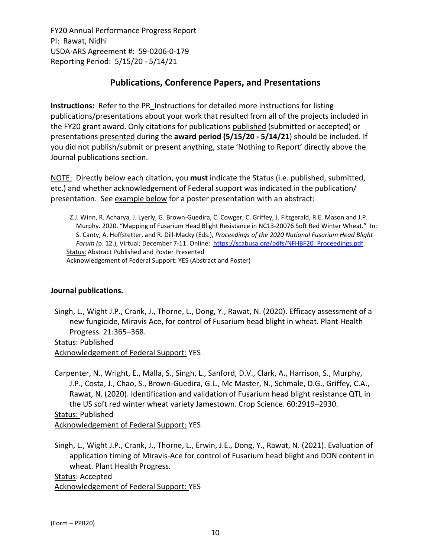# **Publications, Conference Papers, and Presentations**

**Instructions:** Refer to the PR\_Instructions for detailed more instructions for listing publications/presentations about your work that resulted from all of the projects included in the FY20 grant award. Only citations for publications published (submitted or accepted) or presentations presented during the **award period (5/15/20 ‐ 5/14/21**) should be included. If you did not publish/submit or present anything, state 'Nothing to Report' directly above the Journal publications section.

NOTE: Directly below each citation, you **must** indicate the Status (i.e. published, submitted, etc.) and whether acknowledgement of Federal support was indicated in the publication/ presentation. See example below for a poster presentation with an abstract:

Z.J. Winn, R. Acharya, J. Lyerly, G. Brown‐Guedira, C. Cowger, C. Griffey, J. Fitzgerald, R.E. Mason and J.P. Murphy. 2020. "Mapping of Fusarium Head Blight Resistance in NC13‐20076 Soft Red Winter Wheat." In: S. Canty, A. Hoffstetter, and R. Dill‐Macky (Eds.), *Proceedings of the 2020 National Fusarium Head Blight Forum (*p. 12.), Virtual; December 7‐11. Online: [https://scabusa.org/pdfs/NFHBF20\\_Proceedings.pdf.](https://scabusa.org/pdfs/NFHBF20_Proceedings.pdf) Status: Abstract Published and Poster Presented Acknowledgement of Federal Support: YES (Abstract and Poster)

## **Journal publications.**

Singh, L., Wight J.P., Crank, J., Thorne, L., Dong, Y., Rawat, N. (2020). Efficacy assessment of a new fungicide, Miravis Ace, for control of Fusarium head blight in wheat. Plant Health Progress. 21:365–368.

Status: Published Acknowledgement of Federal Support: YES

Carpenter, N., Wright, E., Malla, S., Singh, L., Sanford, D.V., Clark, A., Harrison, S., Murphy, J.P., Costa, J., Chao, S., Brown‐Guedira, G.L., Mc Master, N., Schmale, D.G., Griffey, C.A., Rawat, N. (2020). Identification and validation of Fusarium head blight resistance QTL in the US soft red winter wheat variety Jamestown. Crop Science. 60:2919–2930. Status: Published Acknowledgement of Federal Support: YES

Singh, L., Wight J.P., Crank, J., Thorne, L., Erwin, J.E., Dong, Y., Rawat, N. (2021). Evaluation of application timing of Miravis‐Ace for control of Fusarium head blight and DON content in wheat. Plant Health Progress.

Status: Accepted Acknowledgement of Federal Support: YES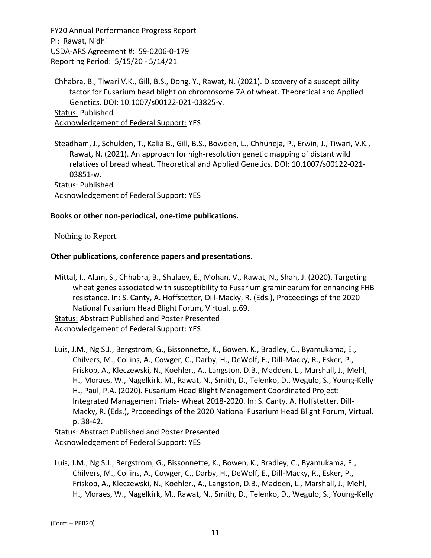Chhabra, B., Tiwari V.K., Gill, B.S., Dong, Y., Rawat, N. (2021). Discovery of a susceptibility factor for Fusarium head blight on chromosome 7A of wheat. Theoretical and Applied Genetics. DOI: 10.1007/s00122‐021‐03825‐y. Status: Published Acknowledgement of Federal Support: YES

Steadham, J., Schulden, T., Kalia B., Gill, B.S., Bowden, L., Chhuneja, P., Erwin, J., Tiwari, V.K., Rawat, N. (2021). An approach for high‐resolution genetic mapping of distant wild relatives of bread wheat. Theoretical and Applied Genetics. DOI: 10.1007/s00122‐021‐ 03851‐w.

Status: Published Acknowledgement of Federal Support: YES

#### **Books or other non‐periodical, one‐time publications.**

Nothing to Report.

#### **Other publications, conference papers and presentations**.

Mittal, I., Alam, S., Chhabra, B., Shulaev, E., Mohan, V., Rawat, N., Shah, J. (2020). Targeting wheat genes associated with susceptibility to Fusarium graminearum for enhancing FHB resistance. In: S. Canty, A. Hoffstetter, Dill‐Macky, R. (Eds.), Proceedings of the 2020 National Fusarium Head Blight Forum, Virtual. p.69.

Status: Abstract Published and Poster Presented Acknowledgement of Federal Support: YES

Luis, J.M., Ng S.J., Bergstrom, G., Bissonnette, K., Bowen, K., Bradley, C., Byamukama, E., Chilvers, M., Collins, A., Cowger, C., Darby, H., DeWolf, E., Dill‐Macky, R., Esker, P., Friskop, A., Kleczewski, N., Koehler., A., Langston, D.B., Madden, L., Marshall, J., Mehl, H., Moraes, W., Nagelkirk, M., Rawat, N., Smith, D., Telenko, D., Wegulo, S., Young‐Kelly H., Paul, P.A. (2020). Fusarium Head Blight Management Coordinated Project: Integrated Management Trials‐ Wheat 2018‐2020. In: S. Canty, A. Hoffstetter, Dill‐ Macky, R. (Eds.), Proceedings of the 2020 National Fusarium Head Blight Forum, Virtual. p. 38‐42.

Status: Abstract Published and Poster Presented Acknowledgement of Federal Support: YES

Luis, J.M., Ng S.J., Bergstrom, G., Bissonnette, K., Bowen, K., Bradley, C., Byamukama, E., Chilvers, M., Collins, A., Cowger, C., Darby, H., DeWolf, E., Dill‐Macky, R., Esker, P., Friskop, A., Kleczewski, N., Koehler., A., Langston, D.B., Madden, L., Marshall, J., Mehl, H., Moraes, W., Nagelkirk, M., Rawat, N., Smith, D., Telenko, D., Wegulo, S., Young‐Kelly